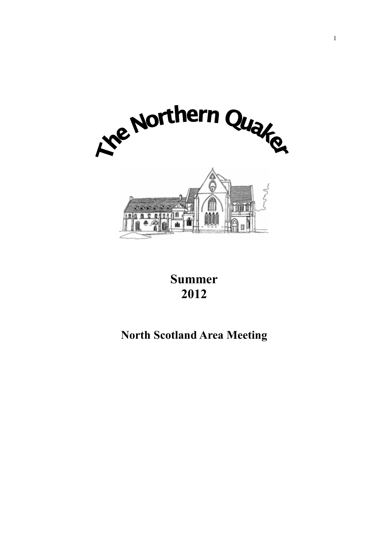

# **Summer 2012**

# **North Scotland Area Meeting**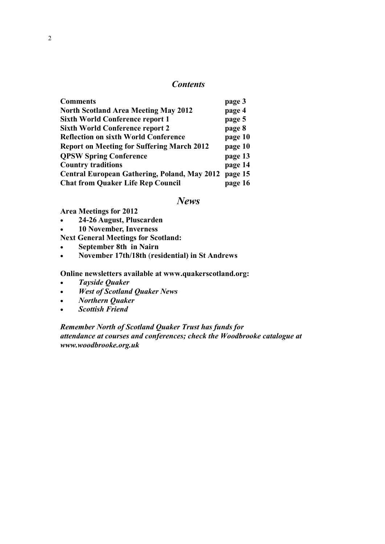# *Contents*

| <b>Comments</b>                                     | page 3  |
|-----------------------------------------------------|---------|
| <b>North Scotland Area Meeting May 2012</b>         | page 4  |
| <b>Sixth World Conference report 1</b>              | page 5  |
| <b>Sixth World Conference report 2</b>              | page 8  |
| <b>Reflection on sixth World Conference</b>         | page 10 |
| <b>Report on Meeting for Suffering March 2012</b>   | page 10 |
| <b>QPSW Spring Conference</b>                       | page 13 |
| <b>Country traditions</b>                           | page 14 |
| <b>Central European Gathering, Poland, May 2012</b> | page 15 |
| <b>Chat from Quaker Life Rep Council</b>            | page 16 |

# *News*

**Area Meetings for 2012**

**24-26 August, Pluscarden**

**10 November, Inverness**

**Next General Meetings for Scotland:** 

- **September 8th in Nairn**
- **November 17th/18th** (**residential) in St Andrews**

# **Online newsletters available at [www.quakerscotland.org:](http://www.quakerscotland.org/)**

- *Tayside Quaker*
- *West of Scotland Quaker News*
- *Northern Quaker*
- *Scottish Friend*

# *Remember North of Scotland Quaker Trust has funds for attendance at courses and conferences; check the Woodbrooke catalogue at [www.woodbrooke.org.uk](http://www.woodbrooke.org.uk/)*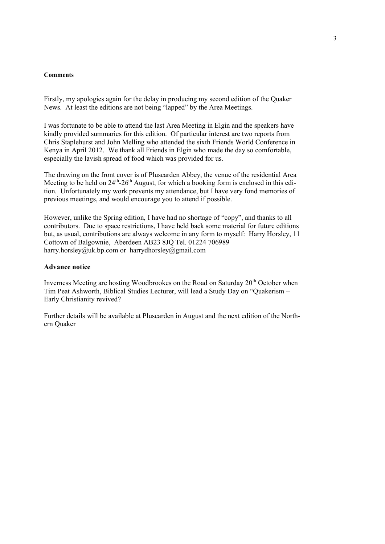#### **Comments**

Firstly, my apologies again for the delay in producing my second edition of the Quaker News. At least the editions are not being "lapped" by the Area Meetings.

I was fortunate to be able to attend the last Area Meeting in Elgin and the speakers have kindly provided summaries for this edition. Of particular interest are two reports from Chris Staplehurst and John Melling who attended the sixth Friends World Conference in Kenya in April 2012. We thank all Friends in Elgin who made the day so comfortable, especially the lavish spread of food which was provided for us.

The drawing on the front cover is of Pluscarden Abbey, the venue of the residential Area Meeting to be held on  $24^{th}$ - $26^{th}$  August, for which a booking form is enclosed in this edition. Unfortunately my work prevents my attendance, but I have very fond memories of previous meetings, and would encourage you to attend if possible.

However, unlike the Spring edition, I have had no shortage of "copy", and thanks to all contributors. Due to space restrictions, I have held back some material for future editions but, as usual, contributions are always welcome in any form to myself: Harry Horsley, 11 Cottown of Balgownie, Aberdeen AB23 8JQ Tel. 01224 706989 harry.horsley@uk.bp.com or harrydhorsley@gmail.com

#### **Advance notice**

Inverness Meeting are hosting Woodbrookes on the Road on Saturday 20<sup>th</sup> October when Tim Peat Ashworth, Biblical Studies Lecturer, will lead a Study Day on "Quakerism – Early Christianity revived?

Further details will be available at Pluscarden in August and the next edition of the Northern Quaker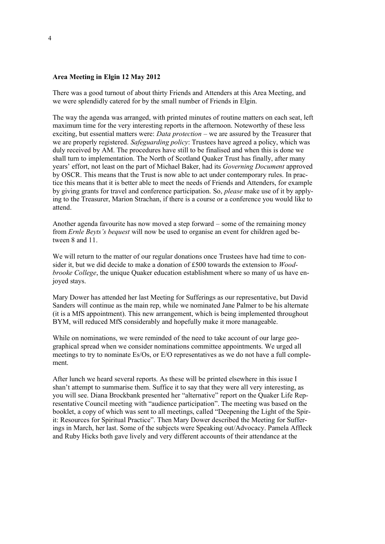### **Area Meeting in Elgin 12 May 2012**

There was a good turnout of about thirty Friends and Attenders at this Area Meeting, and we were splendidly catered for by the small number of Friends in Elgin.

The way the agenda was arranged, with printed minutes of routine matters on each seat, left maximum time for the very interesting reports in the afternoon. Noteworthy of these less exciting, but essential matters were: *Data protection* – we are assured by the Treasurer that we are properly registered. *Safeguarding policy*: Trustees have agreed a policy, which was duly received by AM. The procedures have still to be finalised and when this is done we shall turn to implementation. The North of Scotland Quaker Trust has finally, after many years" effort, not least on the part of Michael Baker, had its *Governing Document* approved by OSCR. This means that the Trust is now able to act under contemporary rules. In practice this means that it is better able to meet the needs of Friends and Attenders, for example by giving grants for travel and conference participation. So, *please* make use of it by applying to the Treasurer, Marion Strachan, if there is a course or a conference you would like to attend.

Another agenda favourite has now moved a step forward – some of the remaining money from *Ernle Beyts's bequest* will now be used to organise an event for children aged between 8 and 11.

We will return to the matter of our regular donations once Trustees have had time to consider it, but we did decide to make a donation of £500 towards the extension to *Woodbrooke College*, the unique Quaker education establishment where so many of us have enjoyed stays.

Mary Dower has attended her last Meeting for Sufferings as our representative, but David Sanders will continue as the main rep, while we nominated Jane Palmer to be his alternate (it is a MfS appointment). This new arrangement, which is being implemented throughout BYM, will reduced MfS considerably and hopefully make it more manageable.

While on nominations, we were reminded of the need to take account of our large geographical spread when we consider nominations committee appointments. We urged all meetings to try to nominate Es/Os, or E/O representatives as we do not have a full complement.

After lunch we heard several reports. As these will be printed elsewhere in this issue I shan"t attempt to summarise them. Suffice it to say that they were all very interesting, as you will see. Diana Brockbank presented her "alternative" report on the Quaker Life Representative Council meeting with "audience participation". The meeting was based on the booklet, a copy of which was sent to all meetings, called "Deepening the Light of the Spirit: Resources for Spiritual Practice". Then Mary Dower described the Meeting for Sufferings in March, her last. Some of the subjects were Speaking out/Advocacy. Pamela Affleck and Ruby Hicks both gave lively and very different accounts of their attendance at the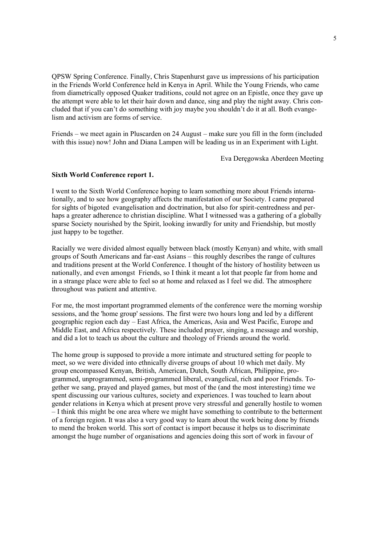QPSW Spring Conference. Finally, Chris Stapenhurst gave us impressions of his participation in the Friends World Conference held in Kenya in April. While the Young Friends, who came from diametrically opposed Quaker traditions, could not agree on an Epistle, once they gave up the attempt were able to let their hair down and dance, sing and play the night away. Chris concluded that if you can't do something with joy maybe you shouldn't do it at all. Both evangelism and activism are forms of service.

Friends – we meet again in Pluscarden on 24 August – make sure you fill in the form (included with this issue) now! John and Diana Lampen will be leading us in an Experiment with Light.

Eva Deręgowska Aberdeen Meeting

#### **Sixth World Conference report 1.**

I went to the Sixth World Conference hoping to learn something more about Friends internationally, and to see how geography affects the manifestation of our Society. I came prepared for sights of bigoted evangelisation and doctrination, but also for spirit-centredness and perhaps a greater adherence to christian discipline. What I witnessed was a gathering of a globally sparse Society nourished by the Spirit, looking inwardly for unity and Friendship, but mostly just happy to be together.

Racially we were divided almost equally between black (mostly Kenyan) and white, with small groups of South Americans and far-east Asians – this roughly describes the range of cultures and traditions present at the World Conference. I thought of the history of hostility between us nationally, and even amongst Friends, so I think it meant a lot that people far from home and in a strange place were able to feel so at home and relaxed as I feel we did. The atmosphere throughout was patient and attentive.

For me, the most important programmed elements of the conference were the morning worship sessions, and the 'home group' sessions. The first were two hours long and led by a different geographic region each day – East Africa, the Americas, Asia and West Pacific, Europe and Middle East, and Africa respectively. These included prayer, singing, a message and worship, and did a lot to teach us about the culture and theology of Friends around the world.

The home group is supposed to provide a more intimate and structured setting for people to meet, so we were divided into ethnically diverse groups of about 10 which met daily. My group encompassed Kenyan, British, American, Dutch, South African, Philippine, programmed, unprogrammed, semi-programmed liberal, evangelical, rich and poor Friends. Together we sang, prayed and played games, but most of the (and the most interesting) time we spent discussing our various cultures, society and experiences. I was touched to learn about gender relations in Kenya which at present prove very stressful and generally hostile to women – I think this might be one area where we might have something to contribute to the betterment of a foreign region. It was also a very good way to learn about the work being done by friends to mend the broken world. This sort of contact is import because it helps us to discriminate amongst the huge number of organisations and agencies doing this sort of work in favour of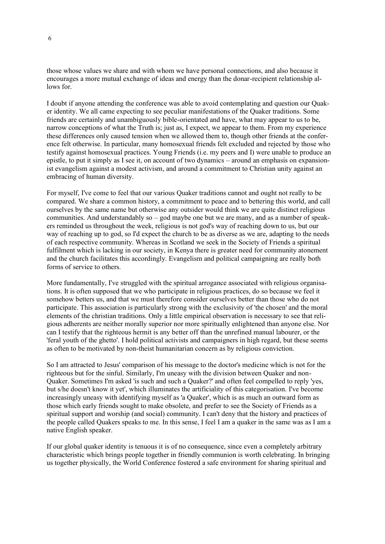those whose values we share and with whom we have personal connections, and also because it encourages a more mutual exchange of ideas and energy than the donar-recipient relationship allows for.

I doubt if anyone attending the conference was able to avoid contemplating and question our Quaker identity. We all came expecting to see peculiar manifestations of the Quaker traditions. Some friends are certainly and unambiguously bible-orientated and have, what may appear to us to be, narrow conceptions of what the Truth is; just as, I expect, we appear to them. From my experience these differences only caused tension when we allowed them to, though other friends at the conference felt otherwise. In particular, many homosexual friends felt excluded and rejected by those who testify against homosexual practices. Young Friends (i.e. my peers and I) were unable to produce an epistle, to put it simply as I see it, on account of two dynamics – around an emphasis on expansionist evangelism against a modest activism, and around a commitment to Christian unity against an embracing of human diversity.

For myself, I've come to feel that our various Quaker traditions cannot and ought not really to be compared. We share a common history, a commitment to peace and to bettering this world, and call ourselves by the same name but otherwise any outsider would think we are quite distinct religious communities. And understandably so – god maybe one but we are many, and as a number of speakers reminded us throughout the week, religious is not god's way of reaching down to us, but our way of reaching up to god, so I'd expect the church to be as diverse as we are, adapting to the needs of each respective community. Whereas in Scotland we seek in the Society of Friends a spiritual fulfilment which is lacking in our society, in Kenya there is greater need for community atonement and the church facilitates this accordingly. Evangelism and political campaigning are really both forms of service to others.

More fundamentally, I've struggled with the spiritual arrogance associated with religious organisations. It is often supposed that we who participate in religious practices, do so because we feel it somehow betters us, and that we must therefore consider ourselves better than those who do not participate. This association is particularly strong with the exclusivity of 'the chosen' and the moral elements of the christian traditions. Only a little empirical observation is necessary to see that religious adherents are neither morally superior nor more spiritually enlightened than anyone else. Nor can I testify that the righteous hermit is any better off than the unrefined manual labourer, or the 'feral youth of the ghetto'. I hold political activists and campaigners in high regard, but these seems as often to be motivated by non-theist humanitarian concern as by religious conviction.

So I am attracted to Jesus' comparison of his message to the doctor's medicine which is not for the righteous but for the sinful. Similarly, I'm uneasy with the division between Quaker and non-Quaker. Sometimes I'm asked 'is such and such a Quaker?' and often feel compelled to reply 'yes, but s/he doesn't know it yet', which illuminates the artificiality of this categorisation. I've become increasingly uneasy with identifying myself as 'a Quaker', which is as much an outward form as those which early friends sought to make obsolete, and prefer to see the Society of Friends as a spiritual support and worship (and social) community. I can't deny that the history and practices of the people called Quakers speaks to me. In this sense, I feel I am a quaker in the same was as I am a native English speaker.

If our global quaker identity is tenuous it is of no consequence, since even a completely arbitrary characteristic which brings people together in friendly communion is worth celebrating. In bringing us together physically, the World Conference fostered a safe environment for sharing spiritual and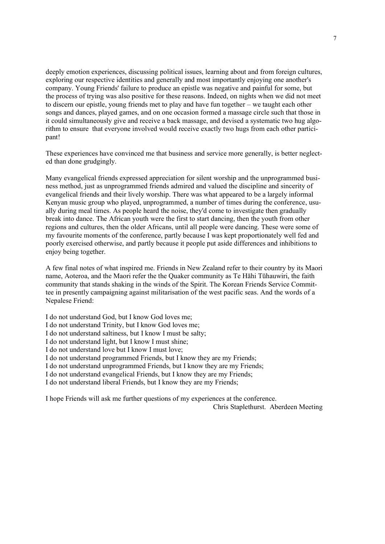deeply emotion experiences, discussing political issues, learning about and from foreign cultures, exploring our respective identities and generally and most importantly enjoying one another's company. Young Friends' failure to produce an epistle was negative and painful for some, but the process of trying was also positive for these reasons. Indeed, on nights when we did not meet to discern our epistle, young friends met to play and have fun together – we taught each other songs and dances, played games, and on one occasion formed a massage circle such that those in it could simultaneously give and receive a back massage, and devised a systematic two hug algorithm to ensure that everyone involved would receive exactly two hugs from each other participant!

These experiences have convinced me that business and service more generally, is better neglected than done grudgingly.

Many evangelical friends expressed appreciation for silent worship and the unprogrammed business method, just as unprogrammed friends admired and valued the discipline and sincerity of evangelical friends and their lively worship. There was what appeared to be a largely informal Kenyan music group who played, unprogrammed, a number of times during the conference, usually during meal times. As people heard the noise, they'd come to investigate then gradually break into dance. The African youth were the first to start dancing, then the youth from other regions and cultures, then the older Africans, until all people were dancing. These were some of my favourite moments of the conference, partly because I was kept proportionately well fed and poorly exercised otherwise, and partly because it people put aside differences and inhibitions to enjoy being together.

A few final notes of what inspired me. Friends in New Zealand refer to their country by its Maori name, Aoteroa, and the Maori refer the the Quaker community as Te Hāhi Tūhauwiri, the faith community that stands shaking in the winds of the Spirit. The Korean Friends Service Committee in presently campaigning against militarisation of the west pacific seas. And the words of a Nepalese Friend:

I do not understand God, but I know God loves me;

I do not understand Trinity, but I know God loves me;

I do not understand saltiness, but I know I must be salty;

I do not understand light, but I know I must shine;

I do not understand love but I know I must love;

I do not understand programmed Friends, but I know they are my Friends;

I do not understand unprogrammed Friends, but I know they are my Friends;

I do not understand evangelical Friends, but I know they are my Friends;

I do not understand liberal Friends, but I know they are my Friends;

I hope Friends will ask me further questions of my experiences at the conference.

Chris Staplethurst. Aberdeen Meeting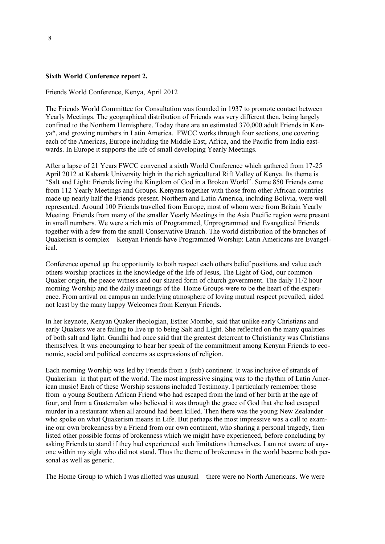#### **Sixth World Conference report 2.**

Friends World Conference, Kenya, April 2012

The Friends World Committee for Consultation was founded in 1937 to promote contact between Yearly Meetings. The geographical distribution of Friends was very different then, being largely confined to the Northern Hemisphere. Today there are an estimated 370,000 adult Friends in Kenya\*, and growing numbers in Latin America. FWCC works through four sections, one covering each of the Americas, Europe including the Middle East, Africa, and the Pacific from India eastwards. In Europe it supports the life of small developing Yearly Meetings.

After a lapse of 21 Years FWCC convened a sixth World Conference which gathered from 17-25 April 2012 at Kabarak University high in the rich agricultural Rift Valley of Kenya. Its theme is "Salt and Light: Friends living the Kingdom of God in a Broken World". Some 850 Friends came from 112 Yearly Meetings and Groups. Kenyans together with those from other African countries made up nearly half the Friends present. Northern and Latin America, including Bolivia, were well represented. Around 100 Friends travelled from Europe, most of whom were from Britain Yearly Meeting. Friends from many of the smaller Yearly Meetings in the Asia Pacific region were present in small numbers. We were a rich mix of Programmed, Unprogrammed and Evangelical Friends together with a few from the small Conservative Branch. The world distribution of the branches of Quakerism is complex – Kenyan Friends have Programmed Worship: Latin Americans are Evangelical.

Conference opened up the opportunity to both respect each others belief positions and value each others worship practices in the knowledge of the life of Jesus, The Light of God, our common Quaker origin, the peace witness and our shared form of church government. The daily 11/2 hour morning Worship and the daily meetings of the Home Groups were to be the heart of the experience. From arrival on campus an underlying atmosphere of loving mutual respect prevailed, aided not least by the many happy Welcomes from Kenyan Friends.

In her keynote, Kenyan Quaker theologian, Esther Mombo, said that unlike early Christians and early Quakers we are failing to live up to being Salt and Light. She reflected on the many qualities of both salt and light. Gandhi had once said that the greatest deterrent to Christianity was Christians themselves. It was encouraging to hear her speak of the commitment among Kenyan Friends to economic, social and political concerns as expressions of religion.

Each morning Worship was led by Friends from a (sub) continent. It was inclusive of strands of Quakerism in that part of the world. The most impressive singing was to the rhythm of Latin American music! Each of these Worship sessions included Testimony. I particularly remember those from a young Southern African Friend who had escaped from the land of her birth at the age of four, and from a Guatemalan who believed it was through the grace of God that she had escaped murder in a restaurant when all around had been killed. Then there was the young New Zealander who spoke on what Quakerism means in Life. But perhaps the most impressive was a call to examine our own brokenness by a Friend from our own continent, who sharing a personal tragedy, then listed other possible forms of brokenness which we might have experienced, before concluding by asking Friends to stand if they had experienced such limitations themselves. I am not aware of anyone within my sight who did not stand. Thus the theme of brokenness in the world became both personal as well as generic.

The Home Group to which I was allotted was unusual – there were no North Americans. We were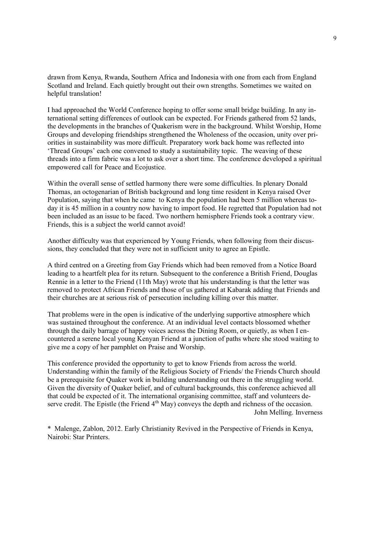drawn from Kenya, Rwanda, Southern Africa and Indonesia with one from each from England Scotland and Ireland. Each quietly brought out their own strengths. Sometimes we waited on helpful translation!

I had approached the World Conference hoping to offer some small bridge building. In any international setting differences of outlook can be expected. For Friends gathered from 52 lands, the developments in the branches of Quakerism were in the background. Whilst Worship, Home Groups and developing friendships strengthened the Wholeness of the occasion, unity over priorities in sustainability was more difficult. Preparatory work back home was reflected into "Thread Groups" each one convened to study a sustainability topic. The weaving of these threads into a firm fabric was a lot to ask over a short time. The conference developed a spiritual empowered call for Peace and Ecojustice.

Within the overall sense of settled harmony there were some difficulties. In plenary Donald Thomas, an octogenarian of British background and long time resident in Kenya raised Over Population, saying that when he came to Kenya the population had been 5 million whereas today it is 45 million in a country now having to import food. He regretted that Population had not been included as an issue to be faced. Two northern hemisphere Friends took a contrary view. Friends, this is a subject the world cannot avoid!

Another difficulty was that experienced by Young Friends, when following from their discussions, they concluded that they were not in sufficient unity to agree an Epistle.

A third centred on a Greeting from Gay Friends which had been removed from a Notice Board leading to a heartfelt plea for its return. Subsequent to the conference a British Friend, Douglas Rennie in a letter to the Friend (11th May) wrote that his understanding is that the letter was removed to protect African Friends and those of us gathered at Kabarak adding that Friends and their churches are at serious risk of persecution including killing over this matter.

That problems were in the open is indicative of the underlying supportive atmosphere which was sustained throughout the conference. At an individual level contacts blossomed whether through the daily barrage of happy voices across the Dining Room, or quietly, as when I encountered a serene local young Kenyan Friend at a junction of paths where she stood waiting to give me a copy of her pamphlet on Praise and Worship.

This conference provided the opportunity to get to know Friends from across the world. Understanding within the family of the Religious Society of Friends/ the Friends Church should be a prerequisite for Quaker work in building understanding out there in the struggling world. Given the diversity of Quaker belief, and of cultural backgrounds, this conference achieved all that could be expected of it. The international organising committee, staff and volunteers deserve credit. The Epistle (the Friend  $4<sup>th</sup>$  May) conveys the depth and richness of the occasion. John Melling. Inverness

\* Malenge, Zablon, 2012. Early Christianity Revived in the Perspective of Friends in Kenya, Nairobi: Star Printers.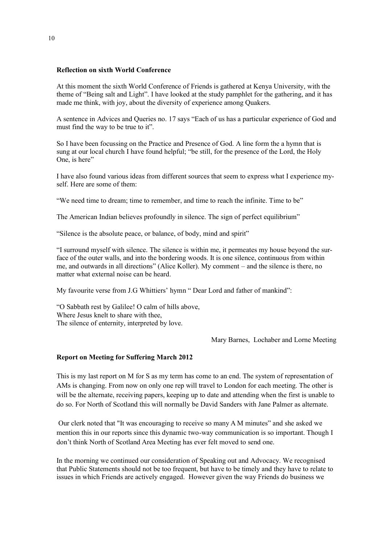### **Reflection on sixth World Conference**

At this moment the sixth World Conference of Friends is gathered at Kenya University, with the theme of "Being salt and Light". I have looked at the study pamphlet for the gathering, and it has made me think, with joy, about the diversity of experience among Quakers.

A sentence in Advices and Queries no. 17 says "Each of us has a particular experience of God and must find the way to be true to it".

So I have been focussing on the Practice and Presence of God. A line form the a hymn that is sung at our local church I have found helpful; "be still, for the presence of the Lord, the Holy One, is here"

I have also found various ideas from different sources that seem to express what I experience myself. Here are some of them:

"We need time to dream; time to remember, and time to reach the infinite. Time to be"

The American Indian believes profoundly in silence. The sign of perfect equilibrium"

"Silence is the absolute peace, or balance, of body, mind and spirit"

"I surround myself with silence. The silence is within me, it permeates my house beyond the surface of the outer walls, and into the bordering woods. It is one silence, continuous from within me, and outwards in all directions" (Alice Koller). My comment – and the silence is there, no matter what external noise can be heard.

My favourite verse from J.G Whittiers' hymn " Dear Lord and father of mankind":

"O Sabbath rest by Galilee! O calm of hills above, Where Jesus knelt to share with thee, The silence of enternity, interpreted by love.

Mary Barnes, Lochaber and Lorne Meeting

## **Report on Meeting for Suffering March 2012**

This is my last report on M for S as my term has come to an end. The system of representation of AMs is changing. From now on only one rep will travel to London for each meeting. The other is will be the alternate, receiving papers, keeping up to date and attending when the first is unable to do so. For North of Scotland this will normally be David Sanders with Jane Palmer as alternate.

Our clerk noted that "It was encouraging to receive so many A M minutes" and she asked we mention this in our reports since this dynamic two-way communication is so important. Though I don"t think North of Scotland Area Meeting has ever felt moved to send one.

In the morning we continued our consideration of Speaking out and Advocacy. We recognised that Public Statements should not be too frequent, but have to be timely and they have to relate to issues in which Friends are actively engaged. However given the way Friends do business we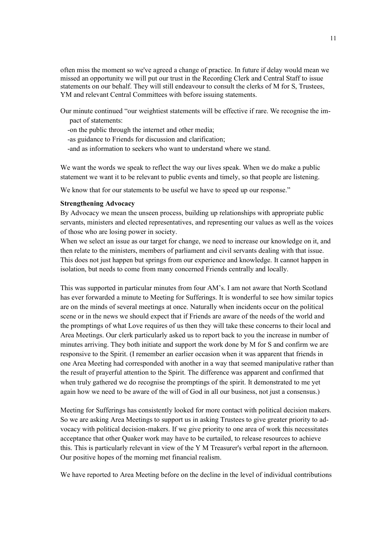often miss the moment so we've agreed a change of practice. In future if delay would mean we missed an opportunity we will put our trust in the Recording Clerk and Central Staff to issue statements on our behalf. They will still endeavour to consult the clerks of M for S, Trustees, YM and relevant Central Committees with before issuing statements.

Our minute continued "our weightiest statements will be effective if rare. We recognise the impact of statements:

-on the public through the internet and other media;

-as guidance to Friends for discussion and clarification;

-and as information to seekers who want to understand where we stand.

We want the words we speak to reflect the way our lives speak. When we do make a public statement we want it to be relevant to public events and timely, so that people are listening.

We know that for our statements to be useful we have to speed up our response."

#### **Strengthening Advocacy**

By Advocacy we mean the unseen process, building up relationships with appropriate public servants, ministers and elected representatives, and representing our values as well as the voices of those who are losing power in society.

When we select an issue as our target for change, we need to increase our knowledge on it, and then relate to the ministers, members of parliament and civil servants dealing with that issue. This does not just happen but springs from our experience and knowledge. It cannot happen in isolation, but needs to come from many concerned Friends centrally and locally.

This was supported in particular minutes from four AM"s. I am not aware that North Scotland has ever forwarded a minute to Meeting for Sufferings. It is wonderful to see how similar topics are on the minds of several meetings at once. Naturally when incidents occur on the political scene or in the news we should expect that if Friends are aware of the needs of the world and the promptings of what Love requires of us then they will take these concerns to their local and Area Meetings. Our clerk particularly asked us to report back to you the increase in number of minutes arriving. They both initiate and support the work done by M for S and confirm we are responsive to the Spirit. (I remember an earlier occasion when it was apparent that friends in one Area Meeting had corresponded with another in a way that seemed manipulative rather than the result of prayerful attention to the Spirit. The difference was apparent and confirmed that when truly gathered we do recognise the promptings of the spirit. It demonstrated to me yet again how we need to be aware of the will of God in all our business, not just a consensus.)

Meeting for Sufferings has consistently looked for more contact with political decision makers. So we are asking Area Meetings to support us in asking Trustees to give greater priority to advocacy with political decision-makers. If we give priority to one area of work this necessitates acceptance that other Quaker work may have to be curtailed, to release resources to achieve this. This is particularly relevant in view of the Y M Treasurer's verbal report in the afternoon. Our positive hopes of the morning met financial realism.

We have reported to Area Meeting before on the decline in the level of individual contributions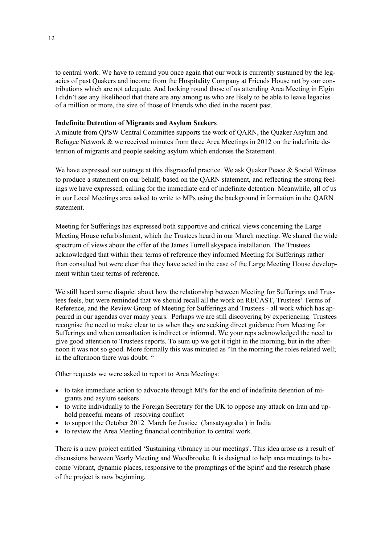to central work. We have to remind you once again that our work is currently sustained by the legacies of past Quakers and income from the Hospitality Company at Friends House not by our contributions which are not adequate. And looking round those of us attending Area Meeting in Elgin I didn"t see any likelihood that there are any among us who are likely to be able to leave legacies of a million or more, the size of those of Friends who died in the recent past.

#### **Indefinite Detention of Migrants and Asylum Seekers**

A minute from QPSW Central Committee supports the work of QARN, the Quaker Asylum and Refugee Network & we received minutes from three Area Meetings in 2012 on the indefinite detention of migrants and people seeking asylum which endorses the Statement.

We have expressed our outrage at this disgraceful practice. We ask Quaker Peace  $\&$  Social Witness to produce a statement on our behalf, based on the QARN statement, and reflecting the strong feelings we have expressed, calling for the immediate end of indefinite detention. Meanwhile, all of us in our Local Meetings area asked to write to MPs using the background information in the QARN statement.

Meeting for Sufferings has expressed both supportive and critical views concerning the Large Meeting House refurbishment, which the Trustees heard in our March meeting. We shared the wide spectrum of views about the offer of the James Turrell skyspace installation. The Trustees acknowledged that within their terms of reference they informed Meeting for Sufferings rather than consulted but were clear that they have acted in the case of the Large Meeting House development within their terms of reference.

We still heard some disquiet about how the relationship between Meeting for Sufferings and Trustees feels, but were reminded that we should recall all the work on RECAST, Trustees' Terms of Reference, and the Review Group of Meeting for Sufferings and Trustees - all work which has appeared in our agendas over many years. Perhaps we are still discovering by experiencing. Trustees recognise the need to make clear to us when they are seeking direct guidance from Meeting for Sufferings and when consultation is indirect or informal. We your reps acknowledged the need to give good attention to Trustees reports. To sum up we got it right in the morning, but in the afternoon it was not so good. More formally this was minuted as "In the morning the roles related well; in the afternoon there was doubt. "

Other requests we were asked to report to Area Meetings:

- to take immediate action to advocate through MPs for the end of indefinite detention of migrants and asylum seekers
- to write individually to the Foreign Secretary for the UK to oppose any attack on Iran and uphold peaceful means of resolving conflict
- to support the October 2012 March for Justice (Jansatyagraha ) in India
- to review the Area Meeting financial contribution to central work.

There is a new project entitled "Sustaining vibrancy in our meetings'. This idea arose as a result of discussions between Yearly Meeting and Woodbrooke. It is designed to help area meetings to become 'vibrant, dynamic places, responsive to the promptings of the Spirit' and the research phase of the project is now beginning.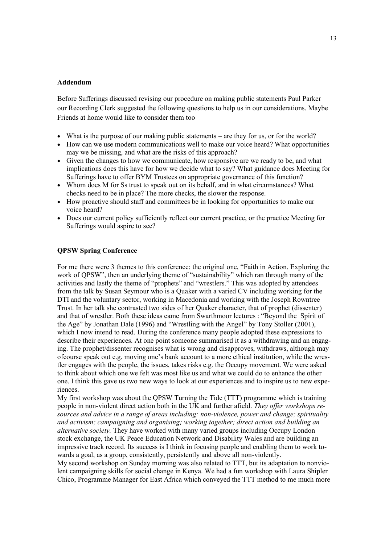## **Addendum**

Before Sufferings discussed revising our procedure on making public statements Paul Parker our Recording Clerk suggested the following questions to help us in our considerations. Maybe Friends at home would like to consider them too

- What is the purpose of our making public statements are they for us, or for the world?
- How can we use modern communications well to make our voice heard? What opportunities may we be missing, and what are the risks of this approach?
- Given the changes to how we communicate, how responsive are we ready to be, and what implications does this have for how we decide what to say? What guidance does Meeting for Sufferings have to offer BYM Trustees on appropriate governance of this function?
- Whom does M for Ss trust to speak out on its behalf, and in what circumstances? What checks need to be in place? The more checks, the slower the response.
- How proactive should staff and committees be in looking for opportunities to make our voice heard?
- Does our current policy sufficiently reflect our current practice, or the practice Meeting for Sufferings would aspire to see?

### **QPSW Spring Conference**

For me there were 3 themes to this conference: the original one, "Faith in Action. Exploring the work of QPSW", then an underlying theme of "sustainability" which ran through many of the activities and lastly the theme of "prophets" and "wrestlers." This was adopted by attendees from the talk by Susan Seymour who is a Quaker with a varied CV including working for the DTI and the voluntary sector, working in Macedonia and working with the Joseph Rowntree Trust. In her talk she contrasted two sides of her Quaker character, that of prophet (dissenter) and that of wrestler. Both these ideas came from Swarthmoor lectures : "Beyond the Spirit of the Age" by Jonathan Dale (1996) and "Wrestling with the Angel" by Tony Stoller (2001), which I now intend to read. During the conference many people adopted these expressions to describe their experiences. At one point someone summarised it as a withdrawing and an engaging. The prophet/dissenter recognises what is wrong and disapproves, withdraws, although may ofcourse speak out e.g. moving one"s bank account to a more ethical institution, while the wrestler engages with the people, the issues, takes risks e.g. the Occupy movement. We were asked to think about which one we felt was most like us and what we could do to enhance the other one. I think this gave us two new ways to look at our experiences and to inspire us to new experiences.

My first workshop was about the QPSW Turning the Tide (TTT) programme which is training people in non-violent direct action both in the UK and further afield. *They offer workshops resources and advice in a range of areas including: non-violence, power and change; spirituality and activism; campaigning and organising; working together; direct action and building an alternative society.* They have worked with many varied groups including Occupy London stock exchange, the UK Peace Education Network and Disability Wales and are building an impressive track record. Its success is I think in focusing people and enabling them to work towards a goal, as a group, consistently, persistently and above all non-violently.

My second workshop on Sunday morning was also related to TTT, but its adaptation to nonviolent campaigning skills for social change in Kenya. We had a fun workshop with Laura Shipler Chico, Programme Manager for East Africa which conveyed the TTT method to me much more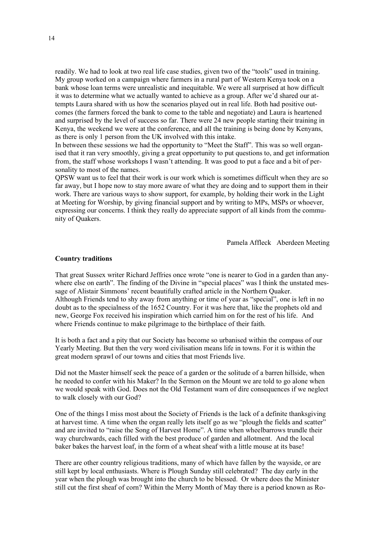readily. We had to look at two real life case studies, given two of the "tools" used in training. My group worked on a campaign where farmers in a rural part of Western Kenya took on a bank whose loan terms were unrealistic and inequitable. We were all surprised at how difficult it was to determine what we actually wanted to achieve as a group. After we"d shared our attempts Laura shared with us how the scenarios played out in real life. Both had positive outcomes (the farmers forced the bank to come to the table and negotiate) and Laura is heartened and surprised by the level of success so far. There were 24 new people starting their training in Kenya, the weekend we were at the conference, and all the training is being done by Kenyans, as there is only 1 person from the UK involved with this intake.

In between these sessions we had the opportunity to "Meet the Staff". This was so well organised that it ran very smoothly, giving a great opportunity to put questions to, and get information from, the staff whose workshops I wasn"t attending. It was good to put a face and a bit of personality to most of the names.

QPSW want us to feel that their work is our work which is sometimes difficult when they are so far away, but I hope now to stay more aware of what they are doing and to support them in their work. There are various ways to show support, for example, by holding their work in the Light at Meeting for Worship, by giving financial support and by writing to MPs, MSPs or whoever, expressing our concerns. I think they really do appreciate support of all kinds from the community of Quakers.

Pamela Affleck Aberdeen Meeting

#### **Country traditions**

That great Sussex writer Richard Jeffries once wrote "one is nearer to God in a garden than anywhere else on earth". The finding of the Divine in "special places" was I think the unstated message of Alistair Simmons' recent beautifully crafted article in the Northern Quaker. Although Friends tend to shy away from anything or time of year as "special", one is left in no doubt as to the specialness of the 1652 Country. For it was here that, like the prophets old and new, George Fox received his inspiration which carried him on for the rest of his life. And where Friends continue to make pilgrimage to the birthplace of their faith.

It is both a fact and a pity that our Society has become so urbanised within the compass of our Yearly Meeting. But then the very word civilisation means life in towns. For it is within the great modern sprawl of our towns and cities that most Friends live.

Did not the Master himself seek the peace of a garden or the solitude of a barren hillside, when he needed to confer with his Maker? In the Sermon on the Mount we are told to go alone when we would speak with God. Does not the Old Testament warn of dire consequences if we neglect to walk closely with our God?

One of the things I miss most about the Society of Friends is the lack of a definite thanksgiving at harvest time. A time when the organ really lets itself go as we "plough the fields and scatter" and are invited to "raise the Song of Harvest Home". A time when wheelbarrows trundle their way churchwards, each filled with the best produce of garden and allotment. And the local baker bakes the harvest loaf, in the form of a wheat sheaf with a little mouse at its base!

There are other country religious traditions, many of which have fallen by the wayside, or are still kept by local enthusiasts. Where is Plough Sunday still celebrated? The day early in the year when the plough was brought into the church to be blessed. Or where does the Minister still cut the first sheaf of corn? Within the Merry Month of May there is a period known as Ro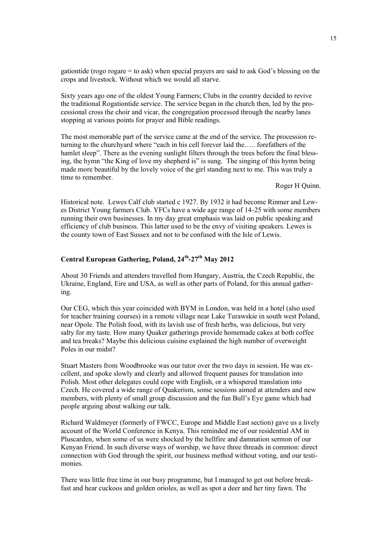gationtide (rogo rogare = to ask) when special prayers are said to ask God"s blessing on the crops and livestock. Without which we would all starve.

Sixty years ago one of the oldest Young Farmers; Clubs in the country decided to revive the traditional Rogationtide service. The service began in the church then, led by the processional cross the choir and vicar, the congregation processed through the nearby lanes stopping at various points for prayer and Bible readings.

The most memorable part of the service came at the end of the service. The procession returning to the churchyard where "each in his cell forever laid the….. forefathers of the hamlet sleep". There as the evening sunlight filters through the trees before the final blessing, the hymn "the King of love my shepherd is" is sung. The singing of this hymn being made more beautiful by the lovely voice of the girl standing next to me. This was truly a time to remember.

Roger H Quinn.

Historical note. Lewes Calf club started c 1927. By 1932 it had become Rinmer and Lewes District Young farmers Club. YFCs have a wide age range of 14-25 with some members running their own businesses. In my day great emphasis was laid on public speaking and efficiency of club business. This latter used to be the envy of visiting speakers. Lewes is the county town of East Sussex and not to be confused with the Isle of Lewis.

## **Central European Gathering, Poland, 24th -27th May 2012**

About 30 Friends and attenders travelled from Hungary, Austria, the Czech Republic, the Ukraine, England, Eire and USA, as well as other parts of Poland, for this annual gathering.

Our CEG, which this year coincided with BYM in London, was held in a hotel (also used for teacher training courses) in a remote village near Lake Turawskie in south west Poland, near Opole. The Polish food, with its lavish use of fresh herbs, was delicious, but very salty for my taste. How many Quaker gatherings provide homemade cakes at both coffee and tea breaks? Maybe this delicious cuisine explained the high number of overweight Poles in our midst?

Stuart Masters from Woodbrooke was our tutor over the two days in session. He was excellent, and spoke slowly and clearly and allowed frequent pauses for translation into Polish. Most other delegates could cope with English, or a whispered translation into Czech. He covered a wide range of Quakerism, some sessions aimed at attenders and new members, with plenty of small group discussion and the fun Bull"s Eye game which had people arguing about walking our talk.

Richard Waldmeyer (formerly of FWCC, Europe and Middle East section) gave us a lively account of the World Conference in Kenya. This reminded me of our residential AM in Pluscarden, when some of us were shocked by the hellfire and damnation sermon of our Kenyan Friend. In such diverse ways of worship, we have three threads in common: direct connection with God through the spirit, our business method without voting, and our testimonies.

There was little free time in our busy programme, but I managed to get out before breakfast and hear cuckoos and golden orioles, as well as spot a deer and her tiny fawn. The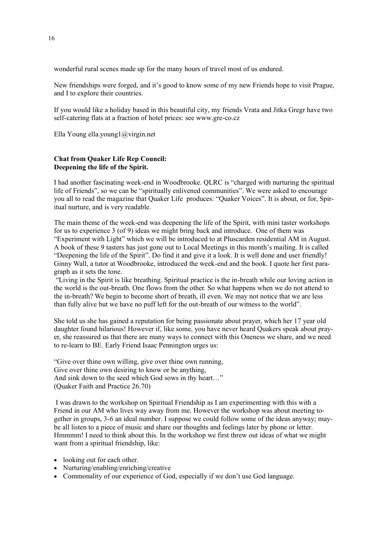wonderful rural scenes made up for the many hours of travel most of us endured.

New friendships were forged, and it's good to know some of my new Friends hope to visit Prague, and I to explore their countries.

If you would like a holiday based in this beautiful city, my friends Vrata and Jitka Gregr have two self-catering flats at a fraction of hotel prices: see www.gre-co.cz

Ella Young ella.young1@virgin.net

### **Chat from Quaker Life Rep Council: Deepening the life of the Spirit.**

I had another fascinating week-end in Woodbrooke. QLRC is "charged with nurturing the spiritual life of Friends", so we can be "spiritually enlivened communities". We were asked to encourage you all to read the magazine that Quaker Life produces: "Quaker Voices". It is about, or for, Spiritual nurture, and is very readable.

The main theme of the week-end was deepening the life of the Spirit, with mini taster workshops for us to experience 3 (of 9) ideas we might bring back and introduce. One of them was "Experiment with Light" which we will be introduced to at Pluscarden residential AM in August. A book of these 9 tasters has just gone out to Local Meetings in this month"s mailing. It is called "Deepening the life of the Spirit". Do find it and give it a look. It is well done and user friendly! Ginny Wall, a tutor at Woodbrooke, introduced the week-end and the book. I quote her first paragraph as it sets the tone.

"Living in the Spirit is like breathing. Spiritual practice is the in-breath while our loving action in the world is the out-breath. One flows from the other. So what happens when we do not attend to the in-breath? We begin to become short of breath, ill even. We may not notice that we are less than fully alive but we have no puff left for the out-breath of our witness to the world".

She told us she has gained a reputation for being passionate about prayer, which her 17 year old daughter found hilarious! However if, like some, you have never heard Quakers speak about prayer, she reassured us that there are many ways to connect with this Oneness we share, and we need to re-learn to BE. Early Friend Isaac Pennington urges us:

"Give over thine own willing, give over thine own running, Give over thine own desiring to know or be anything, And sink down to the seed which God sows in thy heart…" (Quaker Faith and Practice 26.70)

I was drawn to the workshop on Spiritual Friendship as I am experimenting with this with a Friend in our AM who lives way away from me. However the workshop was about meeting together in groups, 3-6 an ideal number. I suppose we could follow some of the ideas anyway; maybe all listen to a piece of music and share our thoughts and feelings later by phone or letter. Hmmmm! I need to think about this. In the workshop we first threw out ideas of what we might want from a spiritual friendship, like:

- looking out for each other.
- Nurturing/enabling/enriching/creative
- Commonality of our experience of God, especially if we don"t use God language.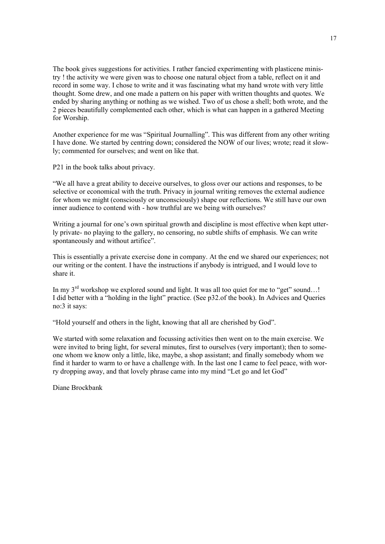The book gives suggestions for activities. I rather fancied experimenting with plasticene ministry ! the activity we were given was to choose one natural object from a table, reflect on it and record in some way. I chose to write and it was fascinating what my hand wrote with very little thought. Some drew, and one made a pattern on his paper with written thoughts and quotes. We ended by sharing anything or nothing as we wished. Two of us chose a shell; both wrote, and the 2 pieces beautifully complemented each other, which is what can happen in a gathered Meeting for Worship.

Another experience for me was "Spiritual Journalling". This was different from any other writing I have done. We started by centring down; considered the NOW of our lives; wrote; read it slowly; commented for ourselves; and went on like that.

P21 in the book talks about privacy.

"We all have a great ability to deceive ourselves, to gloss over our actions and responses, to be selective or economical with the truth. Privacy in journal writing removes the external audience for whom we might (consciously or unconsciously) shape our reflections. We still have our own inner audience to contend with - how truthful are we being with ourselves?

Writing a journal for one's own spiritual growth and discipline is most effective when kept utterly private- no playing to the gallery, no censoring, no subtle shifts of emphasis. We can write spontaneously and without artifice".

This is essentially a private exercise done in company. At the end we shared our experiences; not our writing or the content. I have the instructions if anybody is intrigued, and I would love to share it.

In my  $3^{rd}$  workshop we explored sound and light. It was all too quiet for me to "get" sound...! I did better with a "holding in the light" practice. (See p32.of the book). In Advices and Queries no:3 it says:

"Hold yourself and others in the light, knowing that all are cherished by God".

We started with some relaxation and focussing activities then went on to the main exercise. We were invited to bring light, for several minutes, first to ourselves (very important); then to someone whom we know only a little, like, maybe, a shop assistant; and finally somebody whom we find it harder to warm to or have a challenge with. In the last one I came to feel peace, with worry dropping away, and that lovely phrase came into my mind "Let go and let God"

Diane Brockbank